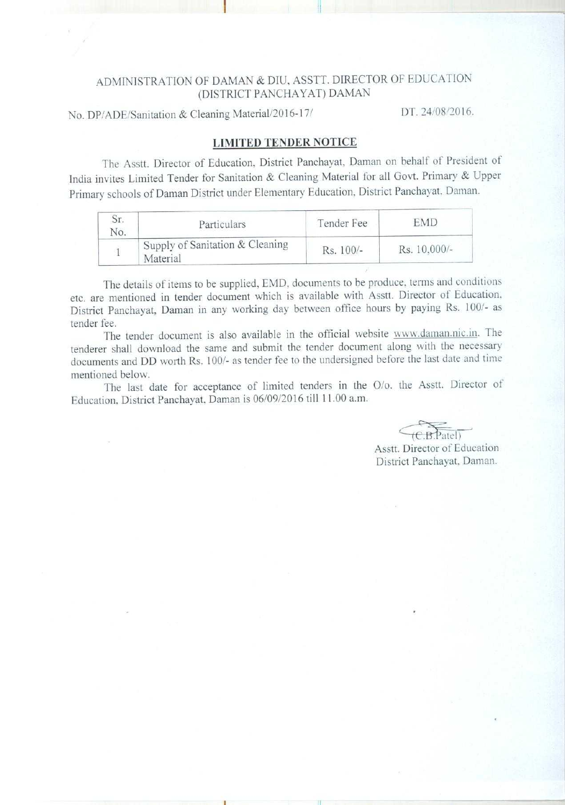## ADMINISTRATION OF DAMAN & DIU, ASSTT. DIRECTOR OF EDUCATION (DISTRICT PANCHAYAT) DAMAN

No. DP/ADE/Sanitation & Cleaning Material/2016-17/ **DT. 24/08/2016.** 

i

### **LIMITED TENDER NOTICE**

The Asstt. Director **of Education**, **District Panchavat** . **Daman on behalf of President of India invites Limited Tender for Sanitation** & **Cleaning Material for all Govt** . **Primary & Upper Primary schools of Daman District under Elementary Education, District Panchavat. Daman.**

| Sr.<br>No. | Particulars                                 | Tender Fee | EMD          |
|------------|---------------------------------------------|------------|--------------|
|            | Supply of Sanitation & Cleaning<br>Material | Rs. 100/-  | Rs. 10,000/- |

The details of items to be supplied. EMD. documents to be produce. terms and conditions etc. are mentioned in tender document which is available with Asstt. Director of Education. District Panchayat, Daman in any working day between office hours by paying Rs. 100/- as tender fee.

The tender document is also available in the official website www.daman.nic.in. The tenderer shall download the same and submit the tender document along with the necessary documents and DD worth Rs. 100/- as tender fee to the undersigned before the last date and time mentioned below.

The last date for acceptance of limited tenders in the O/o. the Asstt. Director of Education, District Panchavat, Daman is 06/09/2016 till 11.00 a.m.

B.Patel)

Asstt. Director of Education District Panchayat. Daman.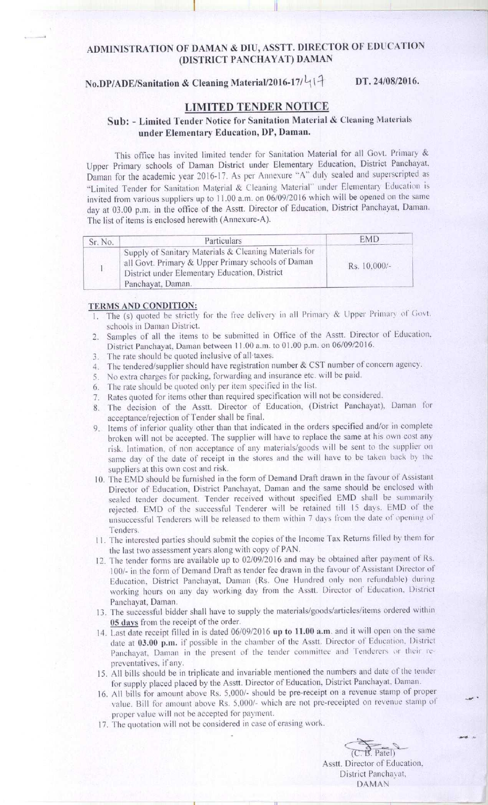### ADMINISTRATION OF DAMAN & DIU, ASSTT. DIRECTOR OF EDUCATION (DISTRICT PANCHAYAT) DAMAN

# **No.DP/ADE/Sanitation & Cleaning Material/2016-17/**  $L_1$  **1**  $+$  **DT. 24/08/2016.**

### LIMITED TENDER NOTICE

### Sub: - Limited fender Notice for **Sanitation** Material & Cleaning Materials **under Elementary Education** , **DP, Daman.**

This office has invited limited tender for Sanitation Material for all Govt. Primary & Upper Primary schools of Daman District under Elementary Education, District Panchayat, Daman for the academic year 2016-17. As per Annexure "A" duly sealed and superscripted as "Limited Tender for Sanitation Material & Cleaning Material" under Elementary Education is invited from various suppliers up to 11.00 a.m. on 06/09/2016 which will be opened on the same day at 03.00 p.m. in the office of the Asstt. Director of Education. District Panchayat, Daman. The list of items is enclosed herewith (Annexure-A).

| Sr. No. | Particulars                                                                                                                                                                       | <b>EMD</b>   |
|---------|-----------------------------------------------------------------------------------------------------------------------------------------------------------------------------------|--------------|
|         | Supply of Sanitary Materials & Cleaning Materials for<br>all Govt. Primary & Upper Primary schools of Daman<br>District under Elementary Education, District<br>Panchayat, Daman. | Rs. 10,000/- |

#### **TERMS AND CONDITION:**

- 1. The (s) quoted be strictly for the free delivery in all Primary & Upper Primary of Govt. schools in **Daman District.**
- 2. Samples of all the items to be submitted in Office of the Asstt. Director of Education. **District Panchayat**, **Daman between 1 1.00 a.m. to 01.00 p.m** . **on 06**/**09/2016.**
- **3. The rate should be quoted inclusive of all taxes.**
- 4. The **tendered**/**supplier should have registration number & CST number of concern agency.**
- 5. No extra charges **for packing**. **forwarding and insurance etc. will be paid.**
- 6. The **rate should** be quoted only **per item specified in the list.**
- **7. Rates quoted for items other than required specification will not be considered.**
- 8. The decision of the Asstt. Director of Education, (District Panchayat), Daman for **acceptance/rejection offender shall be final.**
- **9. Items of inferior quality other than that indicated in the orders specified and/or in complete** broken will not be accepted. The supplier will have to replace the same at his own cost any risk. Intimation, of non acceptance of any materials/goods will be sent to the supplier on same day of the date of receipt in the stores and the will have to be taken back by the **suppliers at this own cost and risk.**
- **10. The EMD should be furnished in the form of Demand Draft drawn in the favour of Assistant Director of Education** , **District Panchayat**, **Daman and the same should be enclosed with** sealed tender document. Tender received without specified EMD shall be summarily rejected. EMD of the successful Tenderer will be retained till 15 days. EMD of the unsuccessful Tenderers will be released to them within 7 days from the date of opening of Tenders.
- **1 1. The interested parties should submit the copies of the Income Tax Returns** filled by **them for the last two assessment years along with copy of PAN.**
- 12. The tender forms are available up to 02/09/2016 and may be obtained after payment of Rs. **1001- in the form of Demand Draft as tender fee drawn in the favour of Assistant Director of** Education, District Panchayat, Daman (Rs. One Hundred only non refundable) during working hours on any day working day from the Asstt. Director of Education, District **Panchayat, Daman.**
- 13. The **successful bidder shall have to supply the materials**/goods/**articles**/ **items ordered within 05 davs f**r**om the receipt of the order.**
- **14. Last date receipt filled in is dated 06/09/2016 up to 11.00 a.m. and it will open on the same (late at 03** .**00 p.m**. **it' possible in the chamber of the Asstt** . **Director of Education** . District Panchayat, Daman in the present of the tender committee and Tenderers or their re**preventatives** , **if any.**
- **15. All bills should he in triplicate and invariable mentioned the numbers and date of the tender for supply placed placed by the Asstt. Director of Education** , **District Panchayat**, **Daman.**
- **16. All bills for amount above Rs. 5.000**/- **should be pre-receipt on a revenue stamp of proper** value. Bill for amount above Rs. 5,000/- which are not pre-receipted on revenue stamp of **proper value will not be accepted** for payment.
- **17. The quotation will not be considered in case of erasing work.**

 $(C, B,$  Patel) **Asstt** . **Director of Education.** District Panchavat, DAMAN